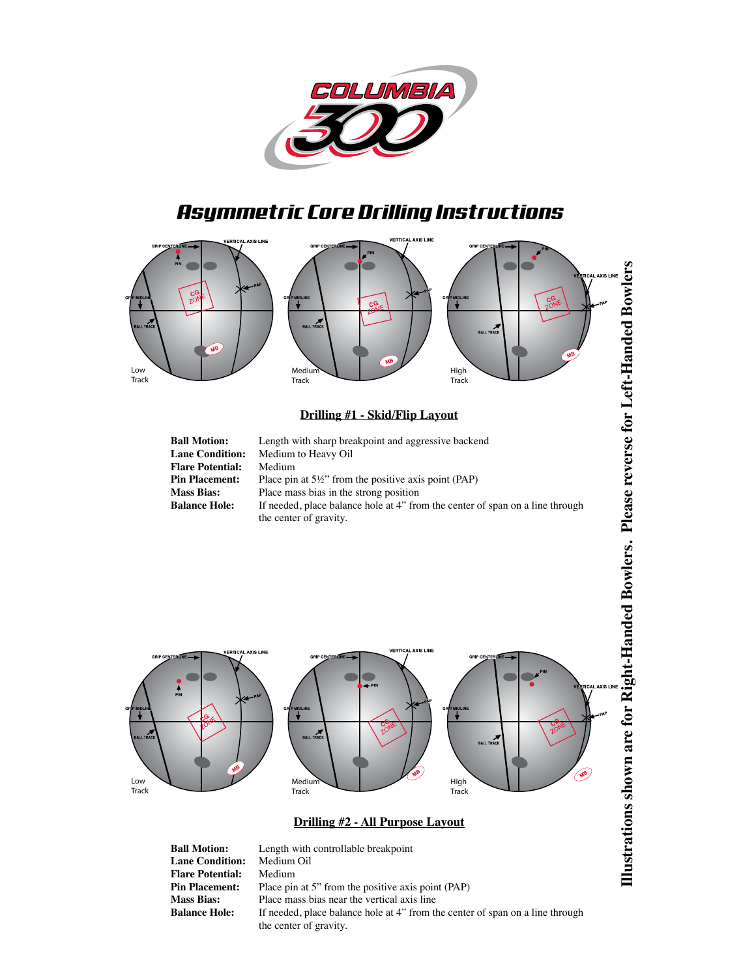

# *Asymmetric Core Drilling Instructions*



## **Drilling #1 - Skid/Flip Layout**

| <b>Ball Motion:</b>     | Length with sharp breakpoint and aggressive backend                                                     |
|-------------------------|---------------------------------------------------------------------------------------------------------|
| <b>Lane Condition:</b>  | Medium to Heavy Oil                                                                                     |
| <b>Flare Potential:</b> | Medium                                                                                                  |
| <b>Pin Placement:</b>   | Place pin at $5\frac{1}{2}$ " from the positive axis point (PAP)                                        |
| <b>Mass Bias:</b>       | Place mass bias in the strong position                                                                  |
| <b>Balance Hole:</b>    | If needed, place balance hole at 4" from the center of span on a line through<br>the center of gravity. |



**Lane Condition:** Medium<br>**Flare Potential:** Medium **Flare Potential:**<br>Pin Placement: **Pin Placement:** Place pin at 5" from the positive axis point (PAP)<br>**Mass Bias:** Place mass bias near the vertical axis line **Mass Bias:** Place mass bias near the vertical axis line<br>**Balance Hole:** If needed, place balance hole at 4" from the If needed, place balance hole at 4" from the center of span on a line through the center of gravity.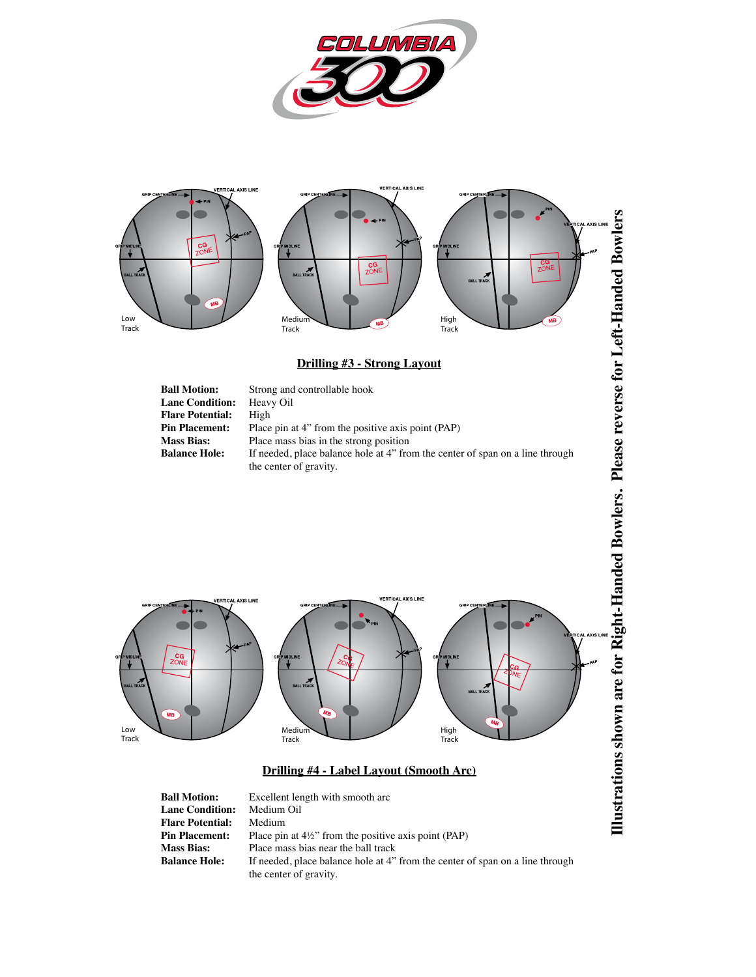



## **Drilling #3 - Strong Layout**

| <b>Ball Motion:</b>     | Strong and controllable hook                                                  |
|-------------------------|-------------------------------------------------------------------------------|
| <b>Lane Condition:</b>  | Heavy Oil                                                                     |
| <b>Flare Potential:</b> | High                                                                          |
| <b>Pin Placement:</b>   | Place pin at 4" from the positive axis point (PAP)                            |
| <b>Mass Bias:</b>       | Place mass bias in the strong position                                        |
| <b>Balance Hole:</b>    | If needed, place balance hole at 4" from the center of span on a line through |
|                         | the center of gravity.                                                        |



#### **Drilling #4 - Label Layout (Smooth Arc)**

**Ball Motion:** Excellent length with smooth arc<br>**Lane Condition:** Medium Oil **Lane Condition:** Medium<br>**Flare Potential:** Medium **Flare Potential:<br>Pin Placement: Pin Placement:** Place pin at 4½" from the positive axis point (PAP)<br>**Mass Bias:** Place mass bias near the ball track **Mass Bias:** Place mass bias near the ball track<br>**Balance Hole:** If needed, place balance hole at 4" If needed, place balance hole at 4" from the center of span on a line through the center of gravity.